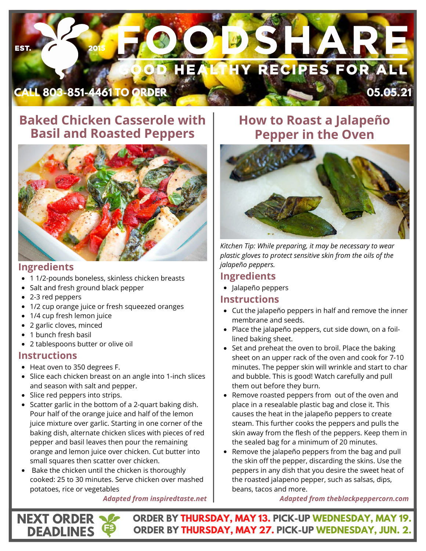

## **Baked Chicken Casserole with Basil and Roasted Peppers**



### **Ingredients**

- 1 1/2-pounds boneless, skinless chicken breasts
- Salt and fresh ground black pepper
- 2-3 red peppers
- 1/2 cup orange juice or fresh squeezed oranges
- 1/4 cup fresh lemon juice
- 2 garlic cloves, minced
- 1 bunch fresh basil

**NEXT ORDER DEADLINES**

2 tablespoons butter or olive oil

#### **Instructions**

- Heat oven to 350 degrees F.
- Slice each chicken breast on an angle into 1-inch slices and season with salt and pepper.
- Slice red peppers into strips.
- Scatter garlic in the bottom of a 2-quart baking dish. Pour half of the orange juice and half of the lemon juice mixture over garlic. Starting in one corner of the baking dish, alternate chicken slices with pieces of red pepper and basil leaves then pour the remaining orange and lemon juice over chicken. Cut butter into small squares then scatter over chicken.
- Bake the chicken until the chicken is thoroughly cooked: 25 to 30 minutes. Serve chicken over mashed potatoes, rice or vegetables

*Adapted from inspiredtaste.net*

## **How to Roast a Jalapeño Pepper in the Oven**



*Kitchen Tip: While preparing, it may be necessary to wear plastic gloves to protect sensitive skin from the oils of the jalapeño peppers.*

### **Ingredients**

Jalapeño peppers

#### **Instructions**

- Cut the jalapeño peppers in half and remove the inner membrane and seeds.
- Place the jalapeño peppers, cut side down, on a foillined baking sheet.
- Set and preheat the oven to broil. Place the baking sheet on an upper rack of the oven and cook for 7-10 minutes. The pepper skin will wrinkle and start to char and bubble. This is good! Watch carefully and pull them out before they burn.
- Remove roasted peppers from out of the oven and place in a resealable plastic bag and close it. This causes the heat in the jalapeño peppers to create steam. This further cooks the peppers and pulls the skin away from the flesh of the peppers. Keep them in the sealed bag for a minimum of 20 minutes.
- Remove the jalapeño peppers from the bag and pull the skin off the pepper, discarding the skins. Use the peppers in any dish that you desire the sweet heat of the roasted jalapeno pepper, such as salsas, dips, beans, tacos and more.

*Adapted from theblackpeppercorn.com*

**ORDER BY THURSDAY, MAY 13. PICK-UP WEDNESDAY, MAY 19. ORDER BY THURSDAY, MAY 27. PICK-UP WEDNESDAY, JUN. 2.**